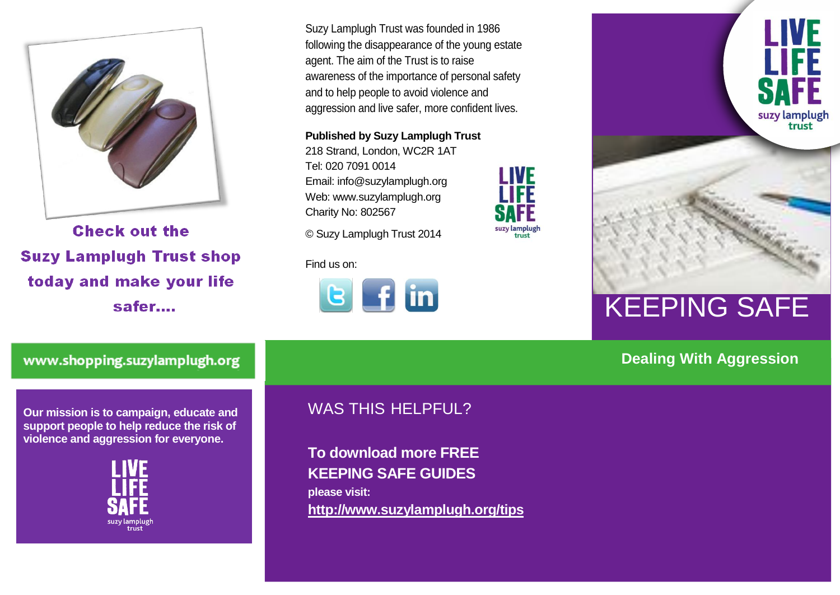

**Check out the Suzy Lamplugh Trust shop** today and make your life safer....

Suzy Lamplugh Trust was founded in 1986 following the disappearance of the young estate agent. The aim of the Trust is to raise awareness of the importance of personal safety and to help people to avoid violence and aggression and live safer, more confident lives.

LIVE

suzy lamplugh<br>trust

**Published by Suzy Lamplugh Trust** 218 Strand, London, WC2R 1AT

Tel: 020 7091 0014 Email: info@suzylamplugh.org Web: www.suzylamplugh.org Charity No: 802567

© Suzy Lamplugh Trust 2014

Find us on:





## KEEPING SAFE

#### **Dealing With Aggression**

www.shopping.suzylamplugh.org

**Our mission is to campaign, educate and support people to help reduce the risk of violence and aggression for everyone.** 



### WAS THIS HELPFUL?

**To download more FREE KEEPING SAFE GUIDES please visit: <http://www.suzylamplugh.org/tips>**